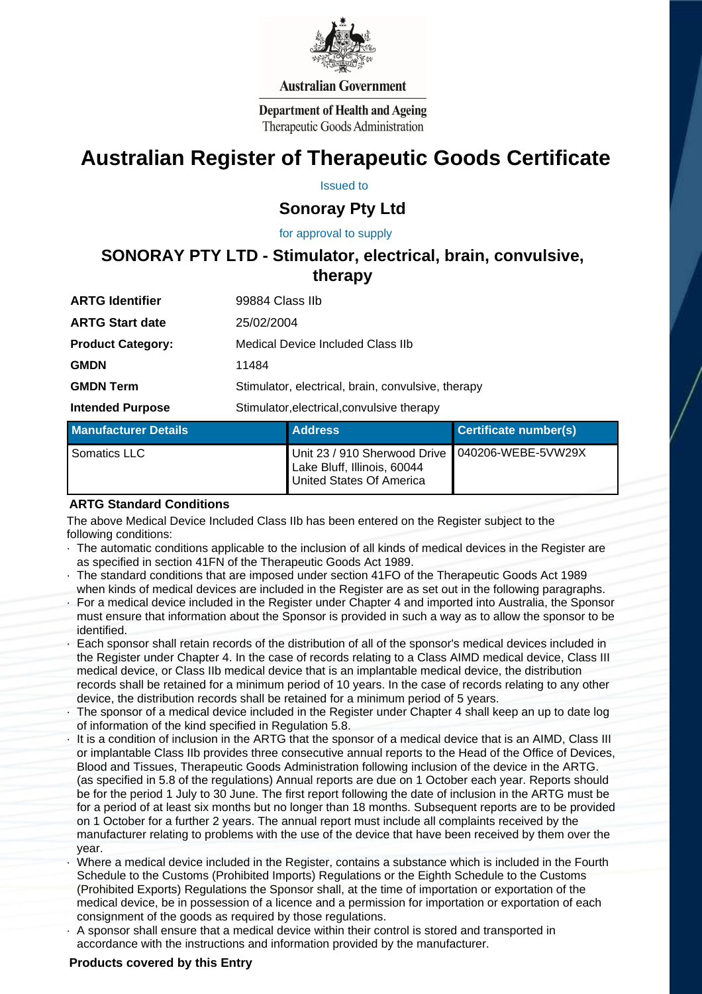

## **Australian Government**

**Department of Health and Ageing** Therapeutic Goods Administration

# **Australian Register of Therapeutic Goods Certificate**

Issued to

# **Sonoray Pty Ltd**

 for approval to supply

# **SONORAY PTY LTD - Stimulator, electrical, brain, convulsive, therapy**

| <b>Administration Communication</b> | the company's company's company's                  |  |  |
|-------------------------------------|----------------------------------------------------|--|--|
| <b>Intended Purpose</b>             | Stimulator, electrical, convulsive therapy         |  |  |
| <b>GMDN Term</b>                    | Stimulator, electrical, brain, convulsive, therapy |  |  |
| <b>GMDN</b>                         | 11484                                              |  |  |
| <b>Product Category:</b>            | Medical Device Included Class IIb                  |  |  |
| <b>ARTG Start date</b>              | 25/02/2004                                         |  |  |
| <b>ARTG Identifier</b>              | 99884 Class IIb                                    |  |  |

| ∣ Manufacturer Details ˈ | <b>Address</b>                                                                                               | Certificate number(s) |
|--------------------------|--------------------------------------------------------------------------------------------------------------|-----------------------|
| Somatics LLC             | Unit 23 / 910 Sherwood Drive   040206-WEBE-5VW29X<br>Lake Bluff, Illinois, 60044<br>United States Of America |                       |

#### **ARTG Standard Conditions**

 The above Medical Device Included Class IIb has been entered on the Register subject to the following conditions:

- · The automatic conditions applicable to the inclusion of all kinds of medical devices in the Register are as specified in section 41FN of the Therapeutic Goods Act 1989.
- · The standard conditions that are imposed under section 41FO of the Therapeutic Goods Act 1989 when kinds of medical devices are included in the Register are as set out in the following paragraphs.
- · For a medical device included in the Register under Chapter 4 and imported into Australia, the Sponsor must ensure that information about the Sponsor is provided in such a way as to allow the sponsor to be identified.
- Each sponsor shall retain records of the distribution of all of the sponsor's medical devices included in the Register under Chapter 4. In the case of records relating to a Class AIMD medical device, Class III medical device, or Class IIb medical device that is an implantable medical device, the distribution records shall be retained for a minimum period of 10 years. In the case of records relating to any other device, the distribution records shall be retained for a minimum period of 5 years.
- The sponsor of a medical device included in the Register under Chapter 4 shall keep an up to date log of information of the kind specified in Regulation 5.8.
- It is a condition of inclusion in the ARTG that the sponsor of a medical device that is an AIMD, Class III or implantable Class IIb provides three consecutive annual reports to the Head of the Office of Devices, Blood and Tissues, Therapeutic Goods Administration following inclusion of the device in the ARTG. (as specified in 5.8 of the regulations) Annual reports are due on 1 October each year. Reports should be for the period 1 July to 30 June. The first report following the date of inclusion in the ARTG must be for a period of at least six months but no longer than 18 months. Subsequent reports are to be provided on 1 October for a further 2 years. The annual report must include all complaints received by the manufacturer relating to problems with the use of the device that have been received by them over the year.
- · Where a medical device included in the Register, contains a substance which is included in the Fourth Schedule to the Customs (Prohibited Imports) Regulations or the Eighth Schedule to the Customs (Prohibited Exports) Regulations the Sponsor shall, at the time of importation or exportation of the medical device, be in possession of a licence and a permission for importation or exportation of each consignment of the goods as required by those regulations.
- · A sponsor shall ensure that a medical device within their control is stored and transported in accordance with the instructions and information provided by the manufacturer.

# **Products covered by this Entry**